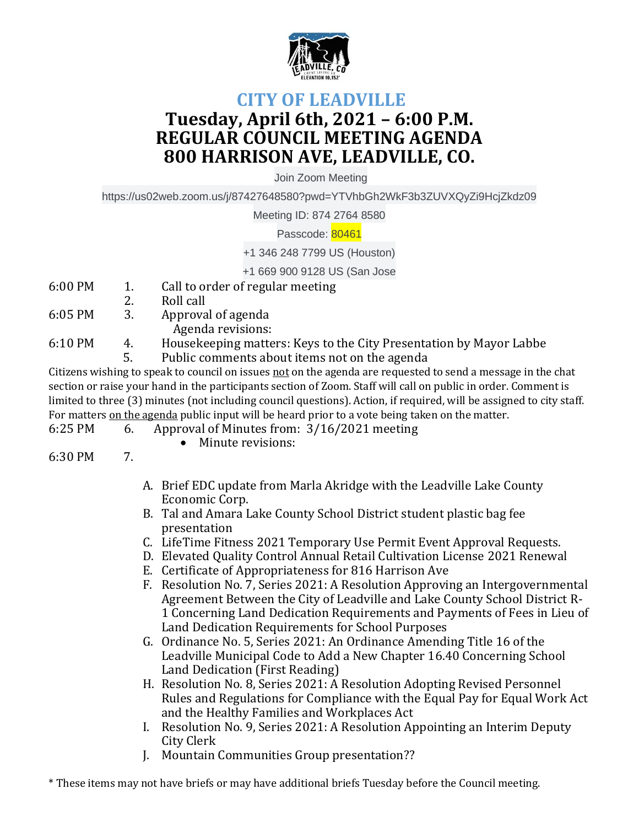

## **CITY OF LEADVILLE Tuesday, April 6th, 2021 – 6:00 P.M. REGULAR COUNCIL MEETING AGENDA 800 HARRISON AVE, LEADVILLE, CO.**

Join Zoom Meeting

https://us02web.zoom.us/j/87427648580?pwd=YTVhbGh2WkF3b3ZUVXQyZi9HcjZkdz09

Meeting ID: 874 2764 8580

Passcode: 80461

+1 346 248 7799 US (Houston)

+1 669 900 9128 US (San Jose

- 6:00 PM 1. Call to order of regular meeting
- 2. Roll call
- 6:05 PM 3. Approval of agenda

Agenda revisions:

6:10 PM 4. Housekeeping matters: Keys to the City Presentation by Mayor Labbe 5. Public comments about items not on the agenda

Citizens wishing to speak to council on issues not on the agenda are requested to send a message in the chat section or raise your hand in the participants section of Zoom. Staff will call on public in order. Comment is limited to three (3) minutes (not including council questions). Action, if required, will be assigned to city staff. For matters on the agenda public input will be heard prior to a vote being taken on the matter.

6:25 PM 6. Approval of Minutes from: 3/16/2021 meeting

- 6:30 PM 7.
- Minute revisions:
- A. Brief EDC update from Marla Akridge with the Leadville Lake County Economic Corp.
- B. Tal and Amara Lake County School District student plastic bag fee presentation
- C. LifeTime Fitness 2021 Temporary Use Permit Event Approval Requests.
- D. Elevated Quality Control Annual Retail Cultivation License 2021 Renewal
- E. Certificate of Appropriateness for 816 Harrison Ave
- F. Resolution No. 7, Series 2021: A Resolution Approving an Intergovernmental Agreement Between the City of Leadville and Lake County School District R-1 Concerning Land Dedication Requirements and Payments of Fees in Lieu of Land Dedication Requirements for School Purposes
- G. Ordinance No. 5, Series 2021: An Ordinance Amending Title 16 of the Leadville Municipal Code to Add a New Chapter 16.40 Concerning School Land Dedication (First Reading)
- H. Resolution No. 8, Series 2021: A Resolution Adopting Revised Personnel Rules and Regulations for Compliance with the Equal Pay for Equal Work Act and the Healthy Families and Workplaces Act
- I. Resolution No. 9, Series 2021: A Resolution Appointing an Interim Deputy City Clerk
- J. Mountain Communities Group presentation??

\* These items may not have briefs or may have additional briefs Tuesday before the Council meeting.